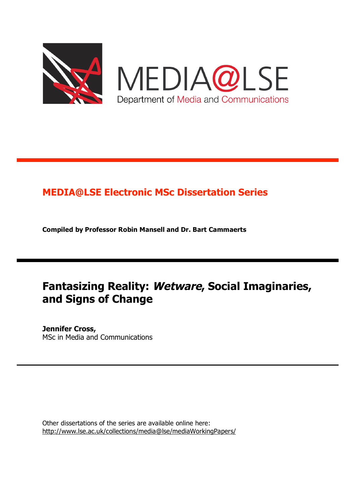

MEDIA@LSE Department of Media and Communications

# **MEDIA@LSE Electronic MSc Dissertation Series**

**Compiled by Professor Robin Mansell and Dr. Bart Cammaerts**

# **Fantasizing Reality: Wetware, Social Imaginaries, and Signs of Change**

**Jennifer Cross,** MSc in Media and Communications

Other dissertations of the series are available online here: http://www.lse.ac.uk/collections/media@lse/mediaWorkingPapers/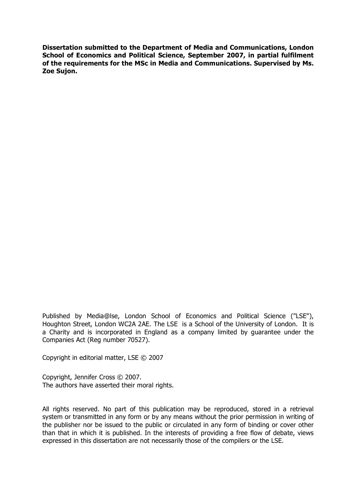**Dissertation submitted to the Department of Media and Communications, London School of Economics and Political Science, September 2007, in partial fulfilment of the requirements for the MSc in Media and Communications. Supervised by Ms. Zoe Sujon.**

Published by Media@lse, London School of Economics and Political Science ("LSE"), Houghton Street, London WC2A 2AE. The LSE is a School of the University of London. It is a Charity and is incorporated in England as a company limited by guarantee under the Companies Act (Reg number 70527).

Copyright in editorial matter, LSE © 2007

Copyright, Jennifer Cross © 2007. The authors have asserted their moral rights.

All rights reserved. No part of this publication may be reproduced, stored in a retrieval system or transmitted in any form or by any means without the prior permission in writing of the publisher nor be issued to the public or circulated in any form of binding or cover other than that in which it is published. In the interests of providing a free flow of debate, views expressed in this dissertation are not necessarily those of the compilers or the LSE.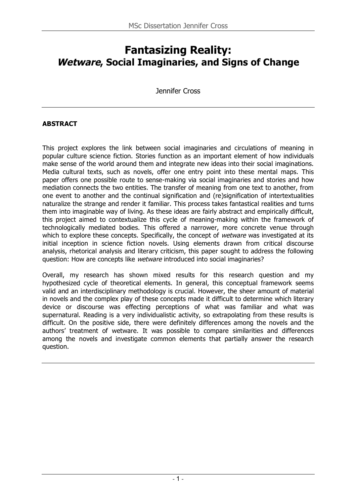# **Fantasizing Reality: Wetware, Social Imaginaries, and Signs of Change**

Jennifer Cross

#### **ABSTRACT**

This project explores the link between social imaginaries and circulations of meaning in popular culture science fiction. Stories function as an important element of how individuals make sense of the world around them and integrate new ideas into their social imaginations. Media cultural texts, such as novels, offer one entry point into these mental maps. This paper offers one possible route to sense-making via social imaginaries and stories and how mediation connects the two entities. The transfer of meaning from one text to another, from one event to another and the continual signification and (re)signification of intertextualities naturalize the strange and render it familiar. This process takes fantastical realities and turns them into imaginable way of living. As these ideas are fairly abstract and empirically difficult, this project aimed to contextualize this cycle of meaning-making within the framework of technologically mediated bodies. This offered a narrower, more concrete venue through which to explore these concepts. Specifically, the concept of *wetware* was investigated at its initial inception in science fiction novels. Using elements drawn from critical discourse analysis, rhetorical analysis and literary criticism, this paper sought to address the following question: How are concepts like *wetware* introduced into social imaginaries?

Overall, my research has shown mixed results for this research question and my hypothesized cycle of theoretical elements. In general, this conceptual framework seems valid and an interdisciplinary methodology is crucial. However, the sheer amount of material in novels and the complex play of these concepts made it difficult to determine which literary device or discourse was effecting perceptions of what was familiar and what was supernatural. Reading is a very individualistic activity, so extrapolating from these results is difficult. On the positive side, there were definitely differences among the novels and the authors' treatment of wetware. It was possible to compare similarities and differences among the novels and investigate common elements that partially answer the research question.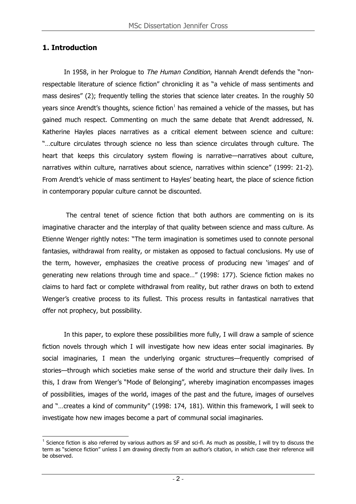# **1. Introduction**

In 1958, in her Prologue to The Human Condition, Hannah Arendt defends the "nonrespectable literature of science fiction" chronicling it as "a vehicle of mass sentiments and mass desires" (2); frequently telling the stories that science later creates. In the roughly 50 years since Arendt's thoughts, science fiction<sup>1</sup> has remained a vehicle of the masses, but has gained much respect. Commenting on much the same debate that Arendt addressed, N. Katherine Hayles places narratives as a critical element between science and culture: "…culture circulates through science no less than science circulates through culture. The heart that keeps this circulatory system flowing is narrative—narratives about culture, narratives within culture, narratives about science, narratives within science" (1999: 21-2). From Arendt's vehicle of mass sentiment to Hayles' beating heart, the place of science fiction in contemporary popular culture cannot be discounted.

The central tenet of science fiction that both authors are commenting on is its imaginative character and the interplay of that quality between science and mass culture. As Etienne Wenger rightly notes: "The term imagination is sometimes used to connote personal fantasies, withdrawal from reality, or mistaken as opposed to factual conclusions. My use of the term, however, emphasizes the creative process of producing new 'images' and of generating new relations through time and space…" (1998: 177). Science fiction makes no claims to hard fact or complete withdrawal from reality, but rather draws on both to extend Wenger's creative process to its fullest. This process results in fantastical narratives that offer not prophecy, but possibility.

In this paper, to explore these possibilities more fully, I will draw a sample of science fiction novels through which I will investigate how new ideas enter social imaginaries. By social imaginaries, I mean the underlying organic structures—frequently comprised of stories—through which societies make sense of the world and structure their daily lives. In this, I draw from Wenger's "Mode of Belonging", whereby imagination encompasses images of possibilities, images of the world, images of the past and the future, images of ourselves and "…creates a kind of community" (1998: 174, 181). Within this framework, I will seek to investigate how new images become a part of communal social imaginaries.

 $<sup>1</sup>$  Science fiction is also referred by various authors as SF and sci-fi. As much as possible, I will try to discuss the</sup> term as "science fiction" unless I am drawing directly from an author's citation, in which case their reference will be observed.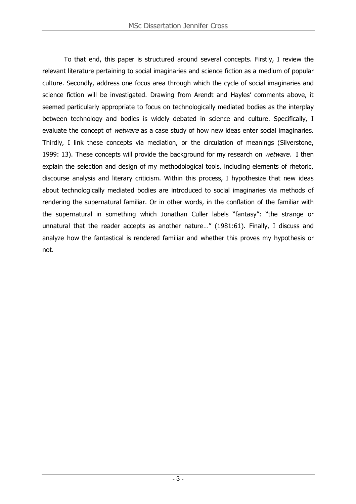To that end, this paper is structured around several concepts. Firstly, I review the relevant literature pertaining to social imaginaries and science fiction as a medium of popular culture. Secondly, address one focus area through which the cycle of social imaginaries and science fiction will be investigated. Drawing from Arendt and Hayles' comments above, it seemed particularly appropriate to focus on technologically mediated bodies as the interplay between technology and bodies is widely debated in science and culture. Specifically, I evaluate the concept of *wetware* as a case study of how new ideas enter social imaginaries. Thirdly, I link these concepts via mediation, or the circulation of meanings (Silverstone, 1999: 13). These concepts will provide the background for my research on *wetware*. I then explain the selection and design of my methodological tools, including elements of rhetoric, discourse analysis and literary criticism. Within this process, I hypothesize that new ideas about technologically mediated bodies are introduced to social imaginaries via methods of rendering the supernatural familiar. Or in other words, in the conflation of the familiar with the supernatural in something which Jonathan Culler labels "fantasy": "the strange or unnatural that the reader accepts as another nature…" (1981:61). Finally, I discuss and analyze how the fantastical is rendered familiar and whether this proves my hypothesis or not.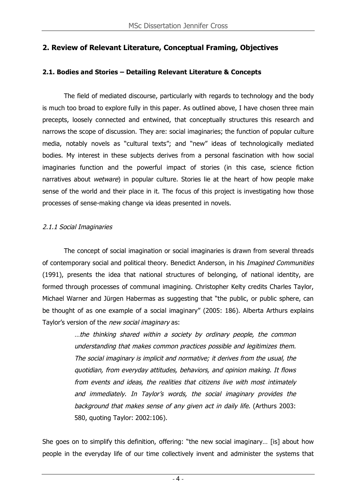# **2. Review of Relevant Literature, Conceptual Framing, Objectives**

#### **2.1. Bodies and Stories – Detailing Relevant Literature & Concepts**

The field of mediated discourse, particularly with regards to technology and the body is much too broad to explore fully in this paper. As outlined above, I have chosen three main precepts, loosely connected and entwined, that conceptually structures this research and narrows the scope of discussion. They are: social imaginaries; the function of popular culture media, notably novels as "cultural texts"; and "new" ideas of technologically mediated bodies. My interest in these subjects derives from a personal fascination with how social imaginaries function and the powerful impact of stories (in this case, science fiction narratives about *wetware*) in popular culture. Stories lie at the heart of how people make sense of the world and their place in it. The focus of this project is investigating how those processes of sense-making change via ideas presented in novels.

## 2.1.1 Social Imaginaries

The concept of social imagination or social imaginaries is drawn from several threads of contemporary social and political theory. Benedict Anderson, in his Imagined Communities (1991), presents the idea that national structures of belonging, of national identity, are formed through processes of communal imagining. Christopher Kelty credits Charles Taylor, Michael Warner and Jürgen Habermas as suggesting that "the public, or public sphere, can be thought of as one example of a social imaginary" (2005: 186). Alberta Arthurs explains Taylor's version of the new social imaginary as:

> …the thinking shared within <sup>a</sup> society by ordinary people, the common understanding that makes common practices possible and legitimizes them. The social imaginary is implicit and normative; it derives from the usual, the quotidian, from everyday attitudes, behaviors, and opinion making. It flows from events and ideas, the realities that citizens live with most intimately and immediately. In Taylor's words, the social imaginary provides the background that makes sense of any given act in daily life. (Arthurs 2003: 580, quoting Taylor: 2002:106).

She goes on to simplify this definition, offering: "the new social imaginary… [is] about how people in the everyday life of our time collectively invent and administer the systems that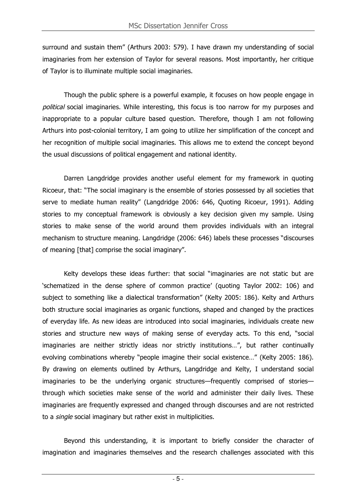surround and sustain them" (Arthurs 2003: 579). I have drawn my understanding of social imaginaries from her extension of Taylor for several reasons. Most importantly, her critique of Taylor is to illuminate multiple social imaginaries.

Though the public sphere is a powerful example, it focuses on how people engage in political social imaginaries. While interesting, this focus is too narrow for my purposes and inappropriate to a popular culture based question. Therefore, though I am not following Arthurs into post-colonial territory, I am going to utilize her simplification of the concept and her recognition of multiple social imaginaries. This allows me to extend the concept beyond the usual discussions of political engagement and national identity.

Darren Langdridge provides another useful element for my framework in quoting Ricoeur, that: "The social imaginary is the ensemble of stories possessed by all societies that serve to mediate human reality" (Langdridge 2006: 646, Quoting Ricoeur, 1991). Adding stories to my conceptual framework is obviously a key decision given my sample. Using stories to make sense of the world around them provides individuals with an integral mechanism to structure meaning. Langdridge (2006: 646) labels these processes "discourses of meaning [that] comprise the social imaginary".

Kelty develops these ideas further: that social "imaginaries are not static but are 'schematized in the dense sphere of common practice' (quoting Taylor 2002: 106) and subject to something like a dialectical transformation" (Kelty 2005: 186). Kelty and Arthurs both structure social imaginaries as organic functions, shaped and changed by the practices of everyday life. As new ideas are introduced into social imaginaries, individuals create new stories and structure new ways of making sense of everyday acts. To this end, "social imaginaries are neither strictly ideas nor strictly institutions…", but rather continually evolving combinations whereby "people imagine their social existence…" (Kelty 2005: 186). By drawing on elements outlined by Arthurs, Langdridge and Kelty, I understand social imaginaries to be the underlying organic structures—frequently comprised of stories through which societies make sense of the world and administer their daily lives. These imaginaries are frequently expressed and changed through discourses and are not restricted to a *single* social imaginary but rather exist in multiplicities.

Beyond this understanding, it is important to briefly consider the character of imagination and imaginaries themselves and the research challenges associated with this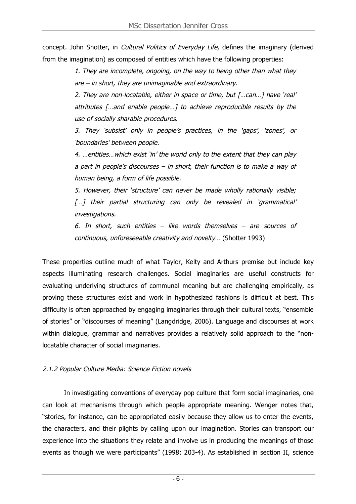concept. John Shotter, in *Cultural Politics of Everyday Life*, defines the imaginary (derived from the imagination) as composed of entities which have the following properties:

> 1. They are incomplete, ongoing, on the way to being other than what they are – in short, they are unimaginable and extraordinary.

> 2. They are non-locatable, either in space or time, but [...can...] have 'real' attributes […and enable people…] to achieve reproducible results by the use of socially sharable procedures.

> 3. They 'subsist' only in people's practices, in the 'gaps', 'zones', or 'boundaries' between people.

> 4. …entities…which exist 'in' the world only to the extent that they can play <sup>a</sup> part in people's discourses – in short, their function is to make <sup>a</sup> way of human being, <sup>a</sup> form of life possible.

> 5. However, their 'structure' can never be made wholly rationally visible; [...] their partial structuring can only be revealed in 'grammatical' investigations.

> 6. In short, such entities – like words themselves – are sources of continuous, unforeseeable creativity and novelty… (Shotter 1993)

These properties outline much of what Taylor, Kelty and Arthurs premise but include key aspects illuminating research challenges. Social imaginaries are useful constructs for evaluating underlying structures of communal meaning but are challenging empirically, as proving these structures exist and work in hypothesized fashions is difficult at best. This difficulty is often approached by engaging imaginaries through their cultural texts, "ensemble of stories" or "discourses of meaning" (Langdridge, 2006). Language and discourses at work within dialogue, grammar and narratives provides a relatively solid approach to the "nonlocatable character of social imaginaries.

## 2.1.2 Popular Culture Media: Science Fiction novels

In investigating conventions of everyday pop culture that form social imaginaries, one can look at mechanisms through which people appropriate meaning. Wenger notes that, "stories, for instance, can be appropriated easily because they allow us to enter the events, the characters, and their plights by calling upon our imagination. Stories can transport our experience into the situations they relate and involve us in producing the meanings of those events as though we were participants" (1998: 203-4). As established in section II, science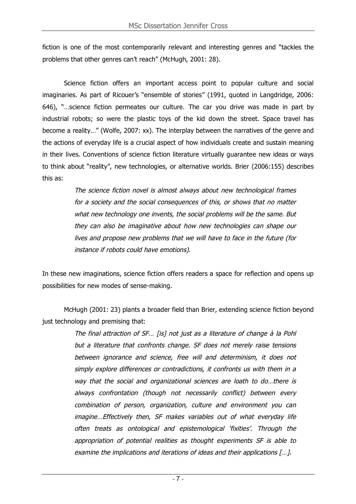fiction is one of the most contemporarily relevant and interesting genres and "tackles the problems that other genres can't reach" (McHugh, 2001: 28).

Science fiction offers an important access point to popular culture and social imaginaries. As part of Ricouer's "ensemble of stories" (1991, quoted in Langdridge, 2006: 646), "…science fiction permeates our culture. The car you drive was made in part by industrial robots; so were the plastic toys of the kid down the street. Space travel has become a reality…" (Wolfe, 2007: xx). The interplay between the narratives of the genre and the actions of everyday life is a crucial aspect of how individuals create and sustain meaning in their lives. Conventions of science fiction literature virtually guarantee new ideas or ways to think about "reality", new technologies, or alternative worlds. Brier (2006:155) describes this as:

> The science fiction novel is almost always about new technological frames for <sup>a</sup> society and the social consequences of this, or shows that no matter what new technology one invents, the social problems will be the same. But they can also be imaginative about how new technologies can shape our lives and propose new problems that we will have to face in the future (for instance if robots could have emotions).

In these new imaginations, science fiction offers readers a space for reflection and opens up possibilities for new modes of sense-making.

McHugh (2001: 23) plants a broader field than Brier, extending science fiction beyond just technology and premising that:

> The final attraction of SF… [is] not just as <sup>a</sup> literature of change à la Pohl but <sup>a</sup> literature that confronts change. SF does not merely raise tensions between ignorance and science, free will and determinism, it does not simply explore differences or contradictions, it confronts us with them in <sup>a</sup> way that the social and organizational sciences are loath to do…there is always confrontation (though not necessarily conflict) between every combination of person, organization, culture and environment you can imagine…Effectively then, SF makes variables out of what everyday life often treats as ontological and epistemological 'fixities'. Through the appropriation of potential realities as thought experiments SF is able to examine the implications and iterations of ideas and their applications [...].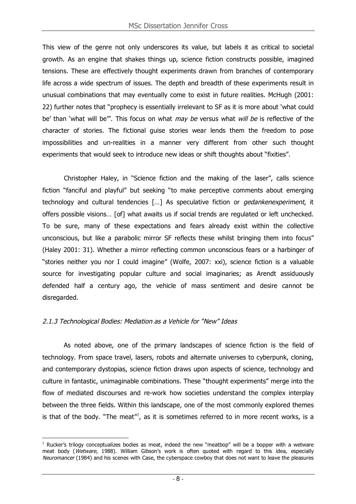This view of the genre not only underscores its value, but labels it as critical to societal growth. As an engine that shakes things up, science fiction constructs possible, imagined tensions. These are effectively thought experiments drawn from branches of contemporary life across a wide spectrum of issues. The depth and breadth of these experiments result in unusual combinations that may eventually come to exist in future realities. McHugh (2001: 22) further notes that "prophecy is essentially irrelevant to SF as it is more about 'what could be' than 'what will be'". This focus on what *may be* versus what *will be* is reflective of the character of stories. The fictional guise stories wear lends them the freedom to pose impossibilities and un-realities in a manner very different from other such thought experiments that would seek to introduce new ideas or shift thoughts about "fixities".

Christopher Haley, in "Science fiction and the making of the laser", calls science fiction "fanciful and playful" but seeking "to make perceptive comments about emerging technology and cultural tendencies […] As speculative fiction or gedankenexperiment, it offers possible visions… [of] what awaits us if social trends are regulated or left unchecked. To be sure, many of these expectations and fears already exist within the collective unconscious, but like a parabolic mirror SF reflects these whilst bringing them into focus" (Haley 2001: 31). Whether a mirror reflecting common unconscious fears or a harbinger of "stories neither you nor I could imagine" (Wolfe, 2007: xxi), science fiction is a valuable source for investigating popular culture and social imaginaries; as Arendt assiduously defended half a century ago, the vehicle of mass sentiment and desire cannot be disregarded.

## 2.1.3 Technological Bodies: Mediation as <sup>a</sup> Vehicle for "New" Ideas

As noted above, one of the primary landscapes of science fiction is the field of technology. From space travel, lasers, robots and alternate universes to cyberpunk, cloning, and contemporary dystopias, science fiction draws upon aspects of science, technology and culture in fantastic, unimaginable combinations. These "thought experiments" merge into the flow of mediated discourses and re-work how societies understand the complex interplay between the three fields. Within this landscape, one of the most commonly explored themes is that of the body. "The meat"<sup>2</sup>, as it is sometimes referred to in more recent works, is a

 $\overline{a}$  $2$  Rucker's trilogy conceptualizes bodies as meat, indeed the new "meatbop" will be a bopper with a wetware meat body (Wetware, 1988). William Gibson's work is often quoted with regard to this idea, especially Neuromancer (1984) and his scenes with Case, the cyberspace cowboy that does not want to leave the pleasures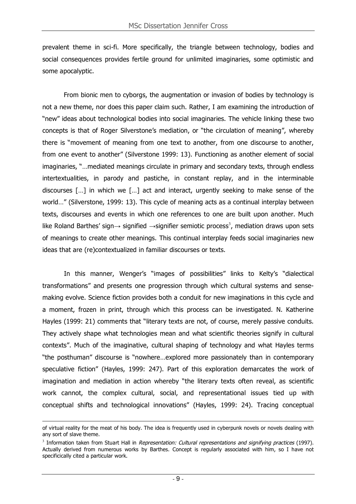prevalent theme in sci-fi. More specifically, the triangle between technology, bodies and social consequences provides fertile ground for unlimited imaginaries, some optimistic and some apocalyptic.

From bionic men to cyborgs, the augmentation or invasion of bodies by technology is not a new theme, nor does this paper claim such. Rather, I am examining the introduction of "new" ideas about technological bodies into social imaginaries. The vehicle linking these two concepts is that of Roger Silverstone's mediation, or "the circulation of meaning", whereby there is "movement of meaning from one text to another, from one discourse to another, from one event to another" (Silverstone 1999: 13). Functioning as another element of social imaginaries, "…mediated meanings circulate in primary and secondary texts, through endless intertextualities, in parody and pastiche, in constant replay, and in the interminable discourses […] in which we […] act and interact, urgently seeking to make sense of the world…" (Silverstone, 1999: 13). This cycle of meaning acts as a continual interplay between texts, discourses and events in which one references to one are built upon another. Much like Roland Barthes' sign $\rightarrow$  signified  $\rightarrow$ signifier semiotic process<sup>3</sup>, mediation draws upon sets of meanings to create other meanings. This continual interplay feeds social imaginaries new ideas that are (re)contextualized in familiar discourses or texts.

In this manner, Wenger's "images of possibilities" links to Kelty's "dialectical transformations" and presents one progression through which cultural systems and sensemaking evolve. Science fiction provides both a conduit for new imaginations in this cycle and a moment, frozen in print, through which this process can be investigated. N. Katherine Hayles (1999: 21) comments that "literary texts are not, of course, merely passive conduits. They actively shape what technologies mean and what scientific theories signify in cultural contexts". Much of the imaginative, cultural shaping of technology and what Hayles terms "the posthuman" discourse is "nowhere…explored more passionately than in contemporary speculative fiction" (Hayles, 1999: 247). Part of this exploration demarcates the work of imagination and mediation in action whereby "the literary texts often reveal, as scientific work cannot, the complex cultural, social, and representational issues tied up with conceptual shifts and technological innovations" (Hayles, 1999: 24). Tracing conceptual

 $\overline{a}$ 

of virtual reality for the meat of his body. The idea is frequently used in cyberpunk novels or novels dealing with any sort of slave theme.

 $3$  Information taken from Stuart Hall in Representation: Cultural representations and signifying practices (1997). Actually derived from numerous works by Barthes. Concept is regularly associated with him, so I have not specificically cited a particular work.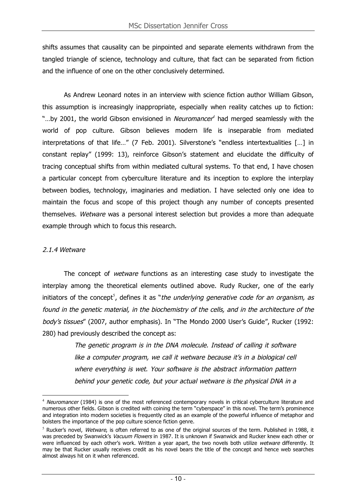shifts assumes that causality can be pinpointed and separate elements withdrawn from the tangled triangle of science, technology and culture, that fact can be separated from fiction and the influence of one on the other conclusively determined.

As Andrew Leonard notes in an interview with science fiction author William Gibson, this assumption is increasingly inappropriate, especially when reality catches up to fiction: "...by 2001, the world Gibson envisioned in *Neuromancer<sup>4</sup>* had merged seamlessly with the world of pop culture. Gibson believes modern life is inseparable from mediated interpretations of that life…" (7 Feb. 2001). Silverstone's "endless intertextualities […] in constant replay" (1999: 13), reinforce Gibson's statement and elucidate the difficulty of tracing conceptual shifts from within mediated cultural systems. To that end, I have chosen a particular concept from cyberculture literature and its inception to explore the interplay between bodies, technology, imaginaries and mediation. I have selected only one idea to maintain the focus and scope of this project though any number of concepts presented themselves. Wetware was a personal interest selection but provides a more than adequate example through which to focus this research.

#### 2.1.4 Wetware

The concept of *wetware* functions as an interesting case study to investigate the interplay among the theoretical elements outlined above. Rudy Rucker, one of the early initiators of the concept<sup>5</sup>, defines it as "*the underlying generative code for an organism, as* found in the genetic material, in the biochemistry of the cells, and in the architecture of the body's tissues" (2007, author emphasis). In "The Mondo 2000 User's Guide", Rucker (1992: 280) had previously described the concept as:

> The genetic program is in the DNA molecule. Instead of calling it software like <sup>a</sup> computer program, we call it wetware because it's in <sup>a</sup> biological cell where everything is wet. Your software is the abstract information pattern behind your genetic code, but your actual wetware is the physical DNA in <sup>a</sup>

 $\overline{a}$  $4$  Neuromancer (1984) is one of the most referenced contemporary novels in critical cyberculture literature and numerous other fields. Gibson is credited with coining the term "cyberspace" in this novel. The term's prominence and integration into modern societies is frequently cited as an example of the powerful influence of metaphor and bolsters the importance of the pop culture science fiction genre.

 $<sup>5</sup>$  Rucker's novel, *Wetware*, is often referred to as one of the original sources of the term. Published in 1988, it</sup> was preceded by Swanwick's Vacuum Flowers in 1987. It is unknown if Swanwick and Rucker knew each other or were influenced by each other's work. Written a year apart, the two novels both utilize wetware differently. It may be that Rucker usually receives credit as his novel bears the title of the concept and hence web searches almost always hit on it when referenced.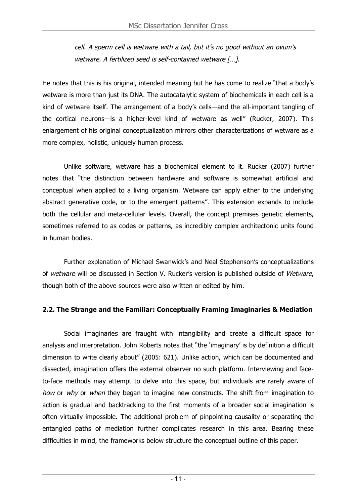cell. A sperm cell is wetware with <sup>a</sup> tail, but it's no good without an ovum's wetware. A fertilized seed is self-contained wetware […].

He notes that this is his original, intended meaning but he has come to realize "that a body's wetware is more than just its DNA. The autocatalytic system of biochemicals in each cell is a kind of wetware itself. The arrangement of a body's cells—and the all-important tangling of the cortical neurons—is a higher-level kind of wetware as well" (Rucker, 2007). This enlargement of his original conceptualization mirrors other characterizations of wetware as a more complex, holistic, uniquely human process.

Unlike software, wetware has a biochemical element to it. Rucker (2007) further notes that "the distinction between hardware and software is somewhat artificial and conceptual when applied to a living organism. Wetware can apply either to the underlying abstract generative code, or to the emergent patterns". This extension expands to include both the cellular and meta-cellular levels. Overall, the concept premises genetic elements, sometimes referred to as codes or patterns, as incredibly complex architectonic units found in human bodies.

Further explanation of Michael Swanwick's and Neal Stephenson's conceptualizations of wetware will be discussed in Section V. Rucker's version is published outside of Wetware, though both of the above sources were also written or edited by him.

#### **2.2. The Strange and the Familiar: Conceptually Framing Imaginaries & Mediation**

Social imaginaries are fraught with intangibility and create a difficult space for analysis and interpretation. John Roberts notes that "the 'imaginary' is by definition a difficult dimension to write clearly about" (2005: 621). Unlike action, which can be documented and dissected, imagination offers the external observer no such platform. Interviewing and faceto-face methods may attempt to delve into this space, but individuals are rarely aware of how or why or when they began to imagine new constructs. The shift from imagination to action is gradual and backtracking to the first moments of a broader social imagination is often virtually impossible. The additional problem of pinpointing causality or separating the entangled paths of mediation further complicates research in this area. Bearing these difficulties in mind, the frameworks below structure the conceptual outline of this paper.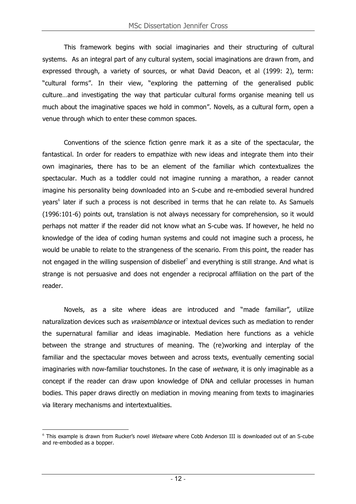This framework begins with social imaginaries and their structuring of cultural systems. As an integral part of any cultural system, social imaginations are drawn from, and expressed through, a variety of sources, or what David Deacon, et al (1999: 2), term: "cultural forms". In their view, "exploring the patterning of the generalised public culture…and investigating the way that particular cultural forms organise meaning tell us much about the imaginative spaces we hold in common". Novels, as a cultural form, open a venue through which to enter these common spaces.

Conventions of the science fiction genre mark it as a site of the spectacular, the fantastical. In order for readers to empathize with new ideas and integrate them into their own imaginaries, there has to be an element of the familiar which contextualizes the spectacular. Much as a toddler could not imagine running a marathon, a reader cannot imagine his personality being downloaded into an S-cube and re-embodied several hundred years<sup>6</sup> later if such a process is not described in terms that he can relate to. As Samuels (1996:101-6) points out, translation is not always necessary for comprehension, so it would perhaps not matter if the reader did not know what an S-cube was. If however, he held no knowledge of the idea of coding human systems and could not imagine such a process, he would be unable to relate to the strangeness of the scenario. From this point, the reader has not engaged in the willing suspension of disbelief<sup>7</sup> and everything is still strange. And what is strange is not persuasive and does not engender a reciprocal affiliation on the part of the reader.

Novels, as a site where ideas are introduced and "made familiar", utilize naturalization devices such as *vraisemblance* or intextual devices such as mediation to render the supernatural familiar and ideas imaginable. Mediation here functions as a vehicle between the strange and structures of meaning. The (re)working and interplay of the familiar and the spectacular moves between and across texts, eventually cementing social imaginaries with now-familiar touchstones. In the case of wetware, it is only imaginable as a concept if the reader can draw upon knowledge of DNA and cellular processes in human bodies. This paper draws directly on mediation in moving meaning from texts to imaginaries via literary mechanisms and intertextualities.

 $\overline{a}$  $6$  This example is drawn from Rucker's novel Wetware where Cobb Anderson III is downloaded out of an S-cube and re-embodied as a bopper.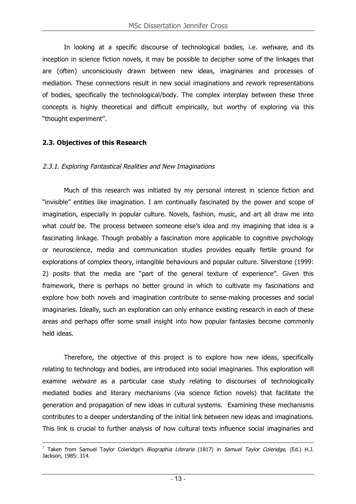In looking at a specific discourse of technological bodies, i.e. wetware, and its inception in science fiction novels, it may be possible to decipher some of the linkages that are (often) unconsciously drawn between new ideas, imaginaries and processes of mediation. These connections result in new social imaginations and rework representations of bodies, specifically the technological/body. The complex interplay between these three concepts is highly theoretical and difficult empirically, but worthy of exploring via this "thought experiment".

#### **2.3. Objectives of this Research**

#### 2.3.1. Exploring Fantastical Realities and New Imaginations

Much of this research was initiated by my personal interest in science fiction and "invisible" entities like imagination. I am continually fascinated by the power and scope of imagination, especially in popular culture. Novels, fashion, music, and art all draw me into what *could* be. The process between someone else's idea and my imagining that idea is a fascinating linkage. Though probably a fascination more applicable to cognitive psychology or neuroscience, media and communication studies provides equally fertile ground for explorations of complex theory, intangible behaviours and popular culture. Silverstone (1999: 2) posits that the media are "part of the general texture of experience". Given this framework, there is perhaps no better ground in which to cultivate my fascinations and explore how both novels and imagination contribute to sense-making processes and social imaginaries. Ideally, such an exploration can only enhance existing research in each of these areas and perhaps offer some small insight into how popular fantasies become commonly held ideas.

Therefore, the objective of this project is to explore how new ideas, specifically relating to technology and bodies, are introduced into social imaginaries. This exploration will examine wetware as a particular case study relating to discourses of technologically mediated bodies and literary mechanisms (via science fiction novels) that facilitate the generation and propagation of new ideas in cultural systems. Examining these mechanisms contributes to a deeper understanding of the initial link between new ideas and imaginations. This link is crucial to further analysis of how cultural texts influence social imaginaries and

 $\overline{a}$ <sup>7</sup> Taken from Samuel Taylor Coleridge's *Biographia Literaria* (1817) in *Samuel Taylor Coleridge*, (Ed.) H.J. Jackson, 1985: 314.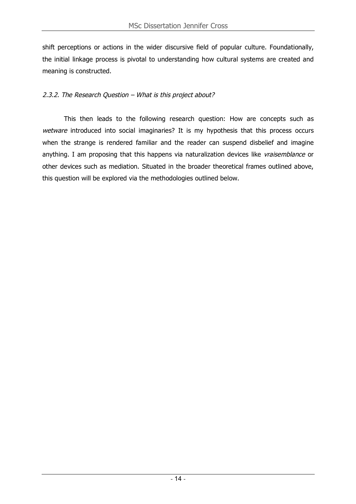shift perceptions or actions in the wider discursive field of popular culture. Foundationally, the initial linkage process is pivotal to understanding how cultural systems are created and meaning is constructed.

#### 2.3.2. The Research Question – What is this project about?

This then leads to the following research question: How are concepts such as wetware introduced into social imaginaries? It is my hypothesis that this process occurs when the strange is rendered familiar and the reader can suspend disbelief and imagine anything. I am proposing that this happens via naturalization devices like vraisemblance or other devices such as mediation. Situated in the broader theoretical frames outlined above, this question will be explored via the methodologies outlined below.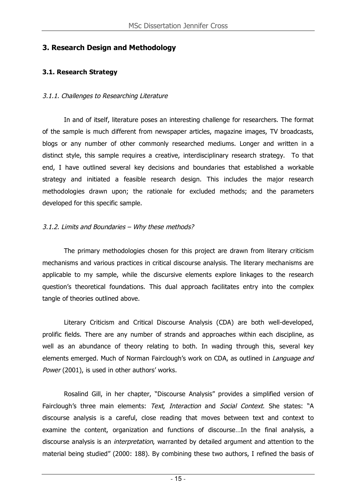## **3. Research Design and Methodology**

## **3.1. Research Strategy**

#### 3.1.1. Challenges to Researching Literature

In and of itself, literature poses an interesting challenge for researchers. The format of the sample is much different from newspaper articles, magazine images, TV broadcasts, blogs or any number of other commonly researched mediums. Longer and written in a distinct style, this sample requires a creative, interdisciplinary research strategy. To that end, I have outlined several key decisions and boundaries that established a workable strategy and initiated a feasible research design. This includes the major research methodologies drawn upon; the rationale for excluded methods; and the parameters developed for this specific sample.

## 3.1.2. Limits and Boundaries – Why these methods?

The primary methodologies chosen for this project are drawn from literary criticism mechanisms and various practices in critical discourse analysis. The literary mechanisms are applicable to my sample, while the discursive elements explore linkages to the research question's theoretical foundations. This dual approach facilitates entry into the complex tangle of theories outlined above.

Literary Criticism and Critical Discourse Analysis (CDA) are both well-developed, prolific fields. There are any number of strands and approaches within each discipline, as well as an abundance of theory relating to both. In wading through this, several key elements emerged. Much of Norman Fairclough's work on CDA, as outlined in *Language and* Power (2001), is used in other authors' works.

Rosalind Gill, in her chapter, "Discourse Analysis" provides a simplified version of Fairclough's three main elements: Text, Interaction and Social Context. She states: "A discourse analysis is a careful, close reading that moves between text and context to examine the content, organization and functions of discourse…In the final analysis, a discourse analysis is an *interpretation*, warranted by detailed argument and attention to the material being studied" (2000: 188). By combining these two authors, I refined the basis of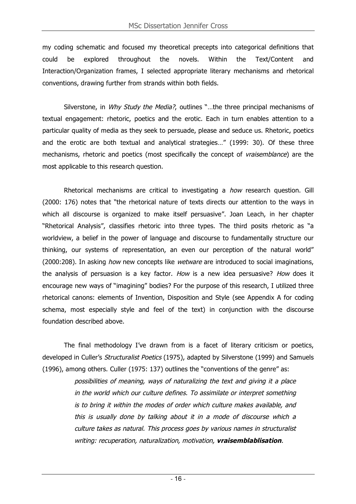my coding schematic and focused my theoretical precepts into categorical definitions that could be explored throughout the novels. Within the Text/Content and Interaction/Organization frames, I selected appropriate literary mechanisms and rhetorical conventions, drawing further from strands within both fields.

Silverstone, in Why Study the Media?, outlines "...the three principal mechanisms of textual engagement: rhetoric, poetics and the erotic. Each in turn enables attention to a particular quality of media as they seek to persuade, please and seduce us. Rhetoric, poetics and the erotic are both textual and analytical strategies…" (1999: 30). Of these three mechanisms, rhetoric and poetics (most specifically the concept of vraisemblance) are the most applicable to this research question.

Rhetorical mechanisms are critical to investigating a how research question. Gill (2000: 176) notes that "the rhetorical nature of texts directs our attention to the ways in which all discourse is organized to make itself persuasive". Joan Leach, in her chapter "Rhetorical Analysis", classifies rhetoric into three types. The third posits rhetoric as "a worldview, a belief in the power of language and discourse to fundamentally structure our thinking, our systems of representation, an even our perception of the natural world" (2000:208). In asking *how* new concepts like *wetware* are introduced to social imaginations, the analysis of persuasion is a key factor. How is a new idea persuasive? How does it encourage new ways of "imagining" bodies? For the purpose of this research, I utilized three rhetorical canons: elements of Invention, Disposition and Style (see Appendix A for coding schema, most especially style and feel of the text) in conjunction with the discourse foundation described above.

The final methodology I've drawn from is a facet of literary criticism or poetics, developed in Culler's *Structuralist Poetics* (1975), adapted by Silverstone (1999) and Samuels (1996), among others. Culler (1975: 137) outlines the "conventions of the genre" as:

> possibilities of meaning, ways of naturalizing the text and giving it <sup>a</sup> place in the world which our culture defines. To assimilate or interpret something is to bring it within the modes of order which culture makes available, and this is usually done by talking about it in <sup>a</sup> mode of discourse which <sup>a</sup> culture takes as natural. This process goes by various names in structuralist writing: recuperation, naturalization, motivation, **vraisemblablisation**.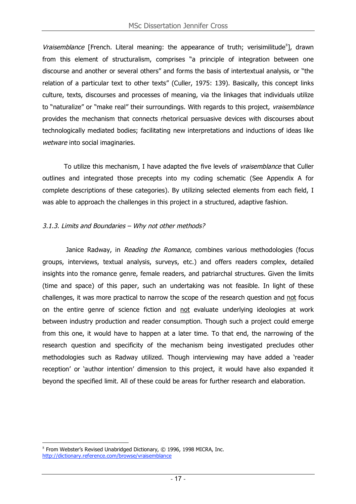Vraisemblance [French. Literal meaning: the appearance of truth; verisimilitude<sup>8</sup>], drawn from this element of structuralism, comprises "a principle of integration between one discourse and another or several others" and forms the basis of intertextual analysis, or "the relation of a particular text to other texts" (Culler, 1975: 139). Basically, this concept links culture, texts, discourses and processes of meaning, via the linkages that individuals utilize to "naturalize" or "make real" their surroundings. With regards to this project, vraisemblance provides the mechanism that connects rhetorical persuasive devices with discourses about technologically mediated bodies; facilitating new interpretations and inductions of ideas like wetware into social imaginaries.

To utilize this mechanism, I have adapted the five levels of *vraisemblance* that Culler outlines and integrated those precepts into my coding schematic (See Appendix A for complete descriptions of these categories). By utilizing selected elements from each field, I was able to approach the challenges in this project in a structured, adaptive fashion.

#### 3.1.3. Limits and Boundaries – Why not other methods?

Janice Radway, in Reading the Romance, combines various methodologies (focus groups, interviews, textual analysis, surveys, etc.) and offers readers complex, detailed insights into the romance genre, female readers, and patriarchal structures. Given the limits (time and space) of this paper, such an undertaking was not feasible. In light of these challenges, it was more practical to narrow the scope of the research question and not focus on the entire genre of science fiction and not evaluate underlying ideologies at work between industry production and reader consumption. Though such a project could emerge from this one, it would have to happen at a later time. To that end, the narrowing of the research question and specificity of the mechanism being investigated precludes other methodologies such as Radway utilized. Though interviewing may have added a 'reader reception' or 'author intention' dimension to this project, it would have also expanded it beyond the specified limit. All of these could be areas for further research and elaboration.

 $\overline{a}$  $8$  From Webster's Revised Unabridged Dictionary,  $© 1996$ , 1998 MICRA, Inc. http://dictionary.reference.com/browse/vraisemblance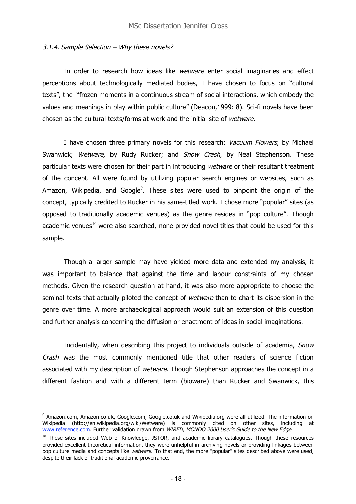#### 3.1.4. Sample Selection – Why these novels?

In order to research how ideas like wetware enter social imaginaries and effect perceptions about technologically mediated bodies, I have chosen to focus on "cultural texts", the "frozen moments in a continuous stream of social interactions, which embody the values and meanings in play within public culture" (Deacon,1999: 8). Sci-fi novels have been chosen as the cultural texts/forms at work and the initial site of wetware.

I have chosen three primary novels for this research: Vacuum Flowers, by Michael Swanwick; Wetware, by Rudy Rucker; and Snow Crash, by Neal Stephenson. These particular texts were chosen for their part in introducing wetware or their resultant treatment of the concept. All were found by utilizing popular search engines or websites, such as Amazon, Wikipedia, and Google $^9$ . These sites were used to pinpoint the origin of the concept, typically credited to Rucker in his same-titled work. I chose more "popular" sites (as opposed to traditionally academic venues) as the genre resides in "pop culture". Though academic venues<sup>10</sup> were also searched, none provided novel titles that could be used for this sample.

Though a larger sample may have yielded more data and extended my analysis, it was important to balance that against the time and labour constraints of my chosen methods. Given the research question at hand, it was also more appropriate to choose the seminal texts that actually piloted the concept of wetware than to chart its dispersion in the genre over time. A more archaeological approach would suit an extension of this question and further analysis concerning the diffusion or enactment of ideas in social imaginations.

Incidentally, when describing this project to individuals outside of academia, Snow Crash was the most commonly mentioned title that other readers of science fiction associated with my description of wetware. Though Stephenson approaches the concept in a different fashion and with a different term (bioware) than Rucker and Swanwick, this

<sup>&</sup>lt;sup>9</sup> Amazon.com, Amazon.co.uk, Google.com, Google.co.uk and Wikipedia.org were all utilized. The information on Wikipedia (http://en.wikipedia.org/wiki/Wetware) is commonly cited on other sites, including at www.reference.com. Further validation drawn from WIRED, MONDO 2000 User's Guide to the New Edge.

<sup>&</sup>lt;sup>10</sup> These sites included Web of Knowledge, JSTOR, and academic library catalogues. Though these resources provided excellent theoretical information, they were unhelpful in archiving novels or providing linkages between pop culture media and concepts like wetware. To that end, the more "popular" sites described above were used, despite their lack of traditional academic provenance.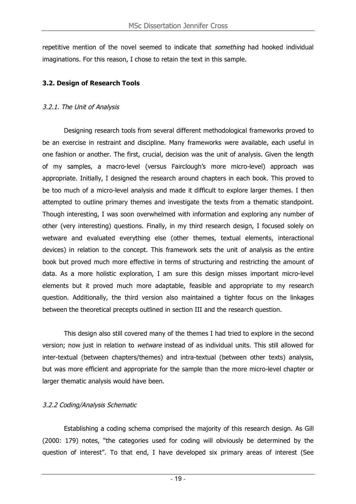repetitive mention of the novel seemed to indicate that something had hooked individual imaginations. For this reason, I chose to retain the text in this sample.

## **3.2. Design of Research Tools**

#### 3.2.1. The Unit of Analysis

Designing research tools from several different methodological frameworks proved to be an exercise in restraint and discipline. Many frameworks were available, each useful in one fashion or another. The first, crucial, decision was the unit of analysis. Given the length of my samples, a macro-level (versus Fairclough's more micro-level) approach was appropriate. Initially, I designed the research around chapters in each book. This proved to be too much of a micro-level analysis and made it difficult to explore larger themes. I then attempted to outline primary themes and investigate the texts from a thematic standpoint. Though interesting, I was soon overwhelmed with information and exploring any number of other (very interesting) questions. Finally, in my third research design, I focused solely on wetware and evaluated everything else (other themes, textual elements, interactional devices) in relation to the concept. This framework sets the unit of analysis as the entire book but proved much more effective in terms of structuring and restricting the amount of data. As a more holistic exploration, I am sure this design misses important micro-level elements but it proved much more adaptable, feasible and appropriate to my research question. Additionally, the third version also maintained a tighter focus on the linkages between the theoretical precepts outlined in section III and the research question.

This design also still covered many of the themes I had tried to explore in the second version; now just in relation to wetware instead of as individual units. This still allowed for inter-textual (between chapters/themes) and intra-textual (between other texts) analysis, but was more efficient and appropriate for the sample than the more micro-level chapter or larger thematic analysis would have been.

#### 3.2.2 Coding/Analysis Schematic

Establishing a coding schema comprised the majority of this research design. As Gill (2000: 179) notes, "the categories used for coding will obviously be determined by the question of interest". To that end, I have developed six primary areas of interest (See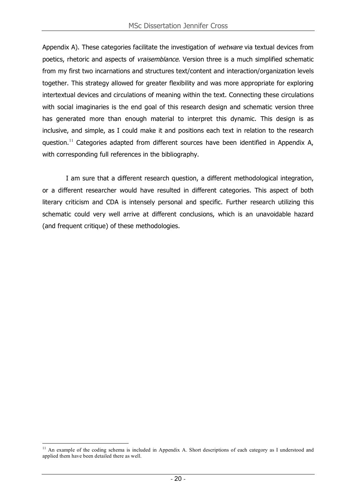Appendix A). These categories facilitate the investigation of *wetware* via textual devices from poetics, rhetoric and aspects of *vraisemblance*. Version three is a much simplified schematic from my first two incarnations and structures text/content and interaction/organization levels together. This strategy allowed for greater flexibility and was more appropriate for exploring intertextual devices and circulations of meaning within the text. Connecting these circulations with social imaginaries is the end goal of this research design and schematic version three has generated more than enough material to interpret this dynamic. This design is as inclusive, and simple, as I could make it and positions each text in relation to the research question.<sup>11</sup> Categories adapted from different sources have been identified in Appendix A, with corresponding full references in the bibliography.

I am sure that a different research question, a different methodological integration, or a different researcher would have resulted in different categories. This aspect of both literary criticism and CDA is intensely personal and specific. Further research utilizing this schematic could very well arrive at different conclusions, which is an unavoidable hazard (and frequent critique) of these methodologies.

<sup>&</sup>lt;sup>11</sup> An example of the coding schema is included in Appendix A. Short descriptions of each category as I understood and applied them have been detailed there as well.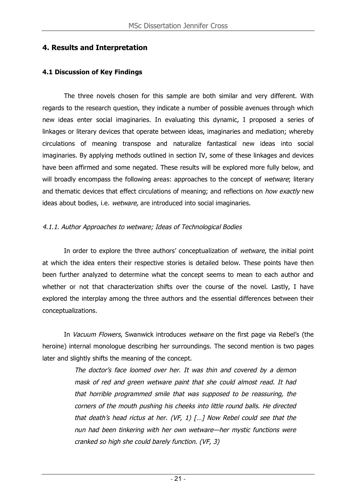# **4. Results and Interpretation**

## **4.1 Discussion of Key Findings**

The three novels chosen for this sample are both similar and very different. With regards to the research question, they indicate a number of possible avenues through which new ideas enter social imaginaries. In evaluating this dynamic, I proposed a series of linkages or literary devices that operate between ideas, imaginaries and mediation; whereby circulations of meaning transpose and naturalize fantastical new ideas into social imaginaries. By applying methods outlined in section IV, some of these linkages and devices have been affirmed and some negated. These results will be explored more fully below, and will broadly encompass the following areas: approaches to the concept of wetware; literary and thematic devices that effect circulations of meaning; and reflections on *how exactly* new ideas about bodies, i.e. wetware, are introduced into social imaginaries.

## 4.1.1. Author Approaches to wetware; Ideas of Technological Bodies

In order to explore the three authors' conceptualization of wetware, the initial point at which the idea enters their respective stories is detailed below. These points have then been further analyzed to determine what the concept seems to mean to each author and whether or not that characterization shifts over the course of the novel. Lastly, I have explored the interplay among the three authors and the essential differences between their conceptualizations.

In Vacuum Flowers, Swanwick introduces wetware on the first page via Rebel's (the heroine) internal monologue describing her surroundings. The second mention is two pages later and slightly shifts the meaning of the concept.

> The doctor's face loomed over her. It was thin and covered by <sup>a</sup> demon mask of red and green wetware paint that she could almost read. It had that horrible programmed smile that was supposed to be reassuring, the corners of the mouth pushing his cheeks into little round balls. He directed that death's head rictus at her. (VF, 1) […] Now Rebel could see that the nun had been tinkering with her own wetware—her mystic functions were cranked so high she could barely function. (VF, 3)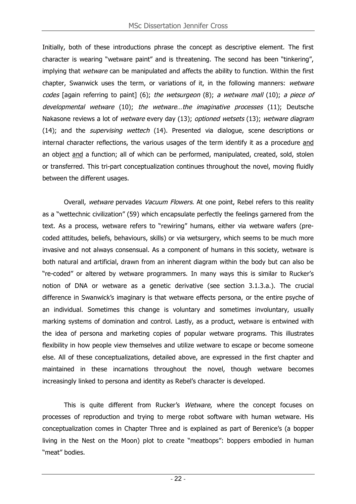Initially, both of these introductions phrase the concept as descriptive element. The first character is wearing "wetware paint" and is threatening. The second has been "tinkering", implying that wetware can be manipulated and affects the ability to function. Within the first chapter, Swanwick uses the term, or variations of it, in the following manners: wetware codes [again referring to paint] (6); the wetsurgeon (8); a wetware mall (10); a piece of developmental wetware (10); the wetware...the imaginative processes (11); Deutsche Nakasone reviews a lot of wetware every day (13); optioned wetsets (13); wetware diagram (14); and the supervising wettech (14). Presented via dialogue, scene descriptions or internal character reflections, the various usages of the term identify it as a procedure and an object and a function; all of which can be performed, manipulated, created, sold, stolen or transferred. This tri-part conceptualization continues throughout the novel, moving fluidly between the different usages.

Overall, wetware pervades Vacuum Flowers. At one point, Rebel refers to this reality as a "wettechnic civilization" (59) which encapsulate perfectly the feelings garnered from the text. As a process, wetware refers to "rewiring" humans, either via wetware wafers (precoded attitudes, beliefs, behaviours, skills) or via wetsurgery, which seems to be much more invasive and not always consensual. As a component of humans in this society, wetware is both natural and artificial, drawn from an inherent diagram within the body but can also be "re-coded" or altered by wetware programmers. In many ways this is similar to Rucker's notion of DNA or wetware as a genetic derivative (see section 3.1.3.a.). The crucial difference in Swanwick's imaginary is that wetware effects persona, or the entire psyche of an individual. Sometimes this change is voluntary and sometimes involuntary, usually marking systems of domination and control. Lastly, as a product, wetware is entwined with the idea of persona and marketing copies of popular wetware programs. This illustrates flexibility in how people view themselves and utilize wetware to escape or become someone else. All of these conceptualizations, detailed above, are expressed in the first chapter and maintained in these incarnations throughout the novel, though wetware becomes increasingly linked to persona and identity as Rebel's character is developed.

This is quite different from Rucker's Wetware, where the concept focuses on processes of reproduction and trying to merge robot software with human wetware. His conceptualization comes in Chapter Three and is explained as part of Berenice's (a bopper living in the Nest on the Moon) plot to create "meatbops": boppers embodied in human "meat" bodies.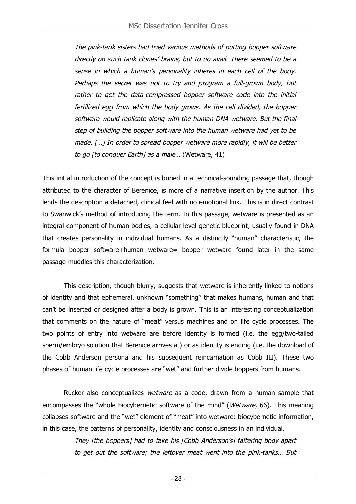The pink-tank sisters had tried various methods of putting bopper software directly on such tank clones' brains, but to no avail. There seemed to be <sup>a</sup> sense in which <sup>a</sup> human's personality inheres in each cell of the body. Perhaps the secret was not to try and program <sup>a</sup> full-grown body, but rather to get the data-compressed bopper software code into the initial fertilized egg from which the body grows. As the cell divided, the bopper software would replicate along with the human DNA wetware. But the final step of building the bopper software into the human wetware had yet to be made. […] In order to spread bopper wetware more rapidly, it will be better to go [to conquer Earth] as <sup>a</sup> male… (Wetware, 41)

This initial introduction of the concept is buried in a technical-sounding passage that, though attributed to the character of Berenice, is more of a narrative insertion by the author. This lends the description a detached, clinical feel with no emotional link. This is in direct contrast to Swanwick's method of introducing the term. In this passage, wetware is presented as an integral component of human bodies, a cellular level genetic blueprint, usually found in DNA that creates personality in individual humans. As a distinctly "human" characteristic, the formula bopper software+human wetware= bopper wetware found later in the same passage muddles this characterization.

This description, though blurry, suggests that wetware is inherently linked to notions of identity and that ephemeral, unknown "something" that makes humans, human and that can't be inserted or designed after a body is grown. This is an interesting conceptualization that comments on the nature of "meat" versus machines and on life cycle processes. The two points of entry into wetware are before identity is formed (i.e. the egg/two-tailed sperm/embryo solution that Berenice arrives at) or as identity is ending (i.e. the download of the Cobb Anderson persona and his subsequent reincarnation as Cobb III). These two phases of human life cycle processes are "wet" and further divide boppers from humans.

Rucker also conceptualizes wetware as a code, drawn from a human sample that encompasses the "whole biocybernetic software of the mind" (*Wetware*, 66). This meaning collapses software and the "wet" element of "meat" into wetware: biocybernetic information, in this case, the patterns of personality, identity and consciousness in an individual.

> They [the boppers] had to take his [Cobb Anderson's] faltering body apart to get out the software; the leftover meat went into the pink-tanks… But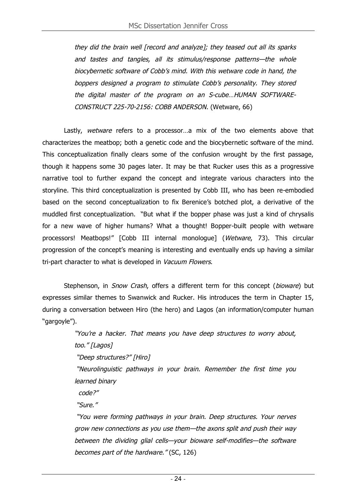they did the brain well [record and analyze]; they teased out all its sparks and tastes and tangles, all its stimulus/response patterns—the whole biocybernetic software of Cobb's mind. With this wetware code in hand, the boppers designed <sup>a</sup> program to stimulate Cobb's personality. They stored the digital master of the program on an S-cube…HUMAN SOFTWARE-CONSTRUCT 225-70-2156: COBB ANDERSON. (Wetware, 66)

Lastly, wetware refers to a processor...a mix of the two elements above that characterizes the meatbop; both a genetic code and the biocybernetic software of the mind. This conceptualization finally clears some of the confusion wrought by the first passage, though it happens some 30 pages later. It may be that Rucker uses this as a progressive narrative tool to further expand the concept and integrate various characters into the storyline. This third conceptualization is presented by Cobb III, who has been re-embodied based on the second conceptualization to fix Berenice's botched plot, a derivative of the muddled first conceptualization. "But what if the bopper phase was just a kind of chrysalis for a new wave of higher humans? What a thought! Bopper-built people with wetware processors! Meatbops!" [Cobb III internal monologue] (Wetware, 73). This circular progression of the concept's meaning is interesting and eventually ends up having a similar tri-part character to what is developed in Vacuum Flowers.

Stephenson, in Snow Crash, offers a different term for this concept (bioware) but expresses similar themes to Swanwick and Rucker. His introduces the term in Chapter 15, during a conversation between Hiro (the hero) and Lagos (an information/computer human "gargoyle").

> "You're <sup>a</sup> hacker. That means you have deep structures to worry about, too." [Lagos] "Deep structures?" [Hiro] "Neurolinguistic pathways in your brain. Remember the first time you learned binary

code?"

"Sure."

"You were forming pathways in your brain. Deep structures. Your nerves grow new connections as you use them—the axons split and push their way between the dividing glial cells—your bioware self-modifies—the software becomes part of the hardware." (SC, 126)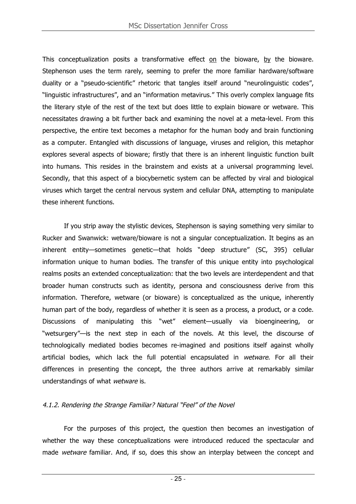This conceptualization posits a transformative effect on the bioware, by the bioware. Stephenson uses the term rarely, seeming to prefer the more familiar hardware/software duality or a "pseudo-scientific" rhetoric that tangles itself around "neurolinguistic codes", "linguistic infrastructures", and an "information metavirus." This overly complex language fits the literary style of the rest of the text but does little to explain bioware or wetware. This necessitates drawing a bit further back and examining the novel at a meta-level. From this perspective, the entire text becomes a metaphor for the human body and brain functioning as a computer. Entangled with discussions of language, viruses and religion, this metaphor explores several aspects of bioware; firstly that there is an inherent linguistic function built into humans. This resides in the brainstem and exists at a universal programming level. Secondly, that this aspect of a biocybernetic system can be affected by viral and biological viruses which target the central nervous system and cellular DNA, attempting to manipulate these inherent functions.

If you strip away the stylistic devices, Stephenson is saying something very similar to Rucker and Swanwick: wetware/bioware is not a singular conceptualization. It begins as an inherent entity—sometimes genetic—that holds "deep structure" (SC, 395) cellular information unique to human bodies. The transfer of this unique entity into psychological realms posits an extended conceptualization: that the two levels are interdependent and that broader human constructs such as identity, persona and consciousness derive from this information. Therefore, wetware (or bioware) is conceptualized as the unique, inherently human part of the body, regardless of whether it is seen as a process, a product, or a code. Discussions of manipulating this "wet" element—usually via bioengineering, or "wetsurgery"—is the next step in each of the novels. At this level, the discourse of technologically mediated bodies becomes re-imagined and positions itself against wholly artificial bodies, which lack the full potential encapsulated in wetware. For all their differences in presenting the concept, the three authors arrive at remarkably similar understandings of what wetware is.

#### 4.1.2. Rendering the Strange Familiar? Natural "Feel" of the Novel

For the purposes of this project, the question then becomes an investigation of whether the way these conceptualizations were introduced reduced the spectacular and made wetware familiar. And, if so, does this show an interplay between the concept and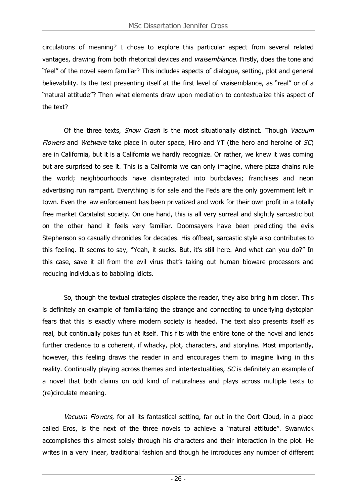circulations of meaning? I chose to explore this particular aspect from several related vantages, drawing from both rhetorical devices and vraisemblance. Firstly, does the tone and "feel" of the novel seem familiar? This includes aspects of dialogue, setting, plot and general believability. Is the text presenting itself at the first level of vraisemblance, as "real" or of a "natural attitude"? Then what elements draw upon mediation to contextualize this aspect of the text?

Of the three texts, Snow Crash is the most situationally distinct. Though Vacuum Flowers and Wetware take place in outer space, Hiro and YT (the hero and heroine of  $SC$ ) are in California, but it is a California we hardly recognize. Or rather, we knew it was coming but are surprised to see it. This is a California we can only imagine, where pizza chains rule the world; neighbourhoods have disintegrated into burbclaves; franchises and neon advertising run rampant. Everything is for sale and the Feds are the only government left in town. Even the law enforcement has been privatized and work for their own profit in a totally free market Capitalist society. On one hand, this is all very surreal and slightly sarcastic but on the other hand it feels very familiar. Doomsayers have been predicting the evils Stephenson so casually chronicles for decades. His offbeat, sarcastic style also contributes to this feeling. It seems to say, "Yeah, it sucks. But, it's still here. And what can you do?" In this case, save it all from the evil virus that's taking out human bioware processors and reducing individuals to babbling idiots.

So, though the textual strategies displace the reader, they also bring him closer. This is definitely an example of familiarizing the strange and connecting to underlying dystopian fears that this is exactly where modern society is headed. The text also presents itself as real, but continually pokes fun at itself. This fits with the entire tone of the novel and lends further credence to a coherent, if whacky, plot, characters, and storyline. Most importantly, however, this feeling draws the reader in and encourages them to imagine living in this reality. Continually playing across themes and intertextualities, SC is definitely an example of a novel that both claims on odd kind of naturalness and plays across multiple texts to (re)circulate meaning.

Vacuum Flowers, for all its fantastical setting, far out in the Oort Cloud, in a place called Eros, is the next of the three novels to achieve a "natural attitude". Swanwick accomplishes this almost solely through his characters and their interaction in the plot. He writes in a very linear, traditional fashion and though he introduces any number of different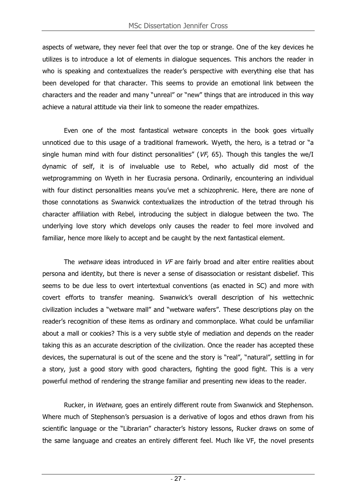aspects of wetware, they never feel that over the top or strange. One of the key devices he utilizes is to introduce a lot of elements in dialogue sequences. This anchors the reader in who is speaking and contextualizes the reader's perspective with everything else that has been developed for that character. This seems to provide an emotional link between the characters and the reader and many "unreal" or "new" things that are introduced in this way achieve a natural attitude via their link to someone the reader empathizes.

Even one of the most fantastical wetware concepts in the book goes virtually unnoticed due to this usage of a traditional framework. Wyeth, the hero, is a tetrad or "a single human mind with four distinct personalities" ( $VF$ , 65). Though this tangles the we/I dynamic of self, it is of invaluable use to Rebel, who actually did most of the wetprogramming on Wyeth in her Eucrasia persona. Ordinarily, encountering an individual with four distinct personalities means you've met a schizophrenic. Here, there are none of those connotations as Swanwick contextualizes the introduction of the tetrad through his character affiliation with Rebel, introducing the subject in dialogue between the two. The underlying love story which develops only causes the reader to feel more involved and familiar, hence more likely to accept and be caught by the next fantastical element.

The wetware ideas introduced in VF are fairly broad and alter entire realities about persona and identity, but there is never a sense of disassociation or resistant disbelief. This seems to be due less to overt intertextual conventions (as enacted in SC) and more with covert efforts to transfer meaning. Swanwick's overall description of his wettechnic civilization includes a "wetware mall" and "wetware wafers". These descriptions play on the reader's recognition of these items as ordinary and commonplace. What could be unfamiliar about a mall or cookies? This is a very subtle style of mediation and depends on the reader taking this as an accurate description of the civilization. Once the reader has accepted these devices, the supernatural is out of the scene and the story is "real", "natural", settling in for a story, just a good story with good characters, fighting the good fight. This is a very powerful method of rendering the strange familiar and presenting new ideas to the reader.

Rucker, in Wetware, goes an entirely different route from Swanwick and Stephenson. Where much of Stephenson's persuasion is a derivative of logos and ethos drawn from his scientific language or the "Librarian" character's history lessons, Rucker draws on some of the same language and creates an entirely different feel. Much like VF, the novel presents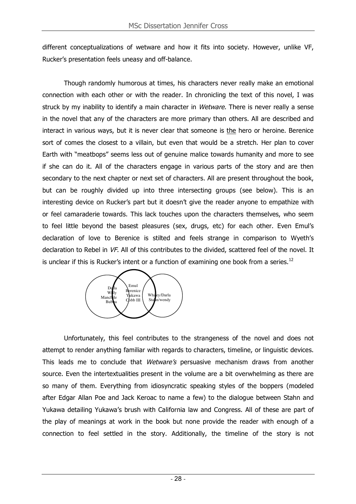different conceptualizations of wetware and how it fits into society. However, unlike VF, Rucker's presentation feels uneasy and off-balance.

Though randomly humorous at times, his characters never really make an emotional connection with each other or with the reader. In chronicling the text of this novel, I was struck by my inability to identify a main character in Wetware. There is never really a sense in the novel that any of the characters are more primary than others. All are described and interact in various ways, but it is never clear that someone is the hero or heroine. Berenice sort of comes the closest to a villain, but even that would be a stretch. Her plan to cover Earth with "meatbops" seems less out of genuine malice towards humanity and more to see if she can do it. All of the characters engage in various parts of the story and are then secondary to the next chapter or next set of characters. All are present throughout the book, but can be roughly divided up into three intersecting groups (see below). This is an interesting device on Rucker's part but it doesn't give the reader anyone to empathize with or feel camaraderie towards. This lack touches upon the characters themselves, who seem to feel little beyond the basest pleasures (sex, drugs, etc) for each other. Even Emul's declaration of love to Berenice is stilted and feels strange in comparison to Wyeth's declaration to Rebel in VF. All of this contributes to the divided, scattered feel of the novel. It is unclear if this is Rucker's intent or a function of examining one book from a series.<sup>12</sup>



Unfortunately, this feel contributes to the strangeness of the novel and does not attempt to render anything familiar with regards to characters, timeline, or linguistic devices. This leads me to conclude that Wetware's persuasive mechanism draws from another source. Even the intertextualities present in the volume are a bit overwhelming as there are so many of them. Everything from idiosyncratic speaking styles of the boppers (modeled after Edgar Allan Poe and Jack Keroac to name a few) to the dialogue between Stahn and Yukawa detailing Yukawa's brush with California law and Congress. All of these are part of the play of meanings at work in the book but none provide the reader with enough of a connection to feel settled in the story. Additionally, the timeline of the story is not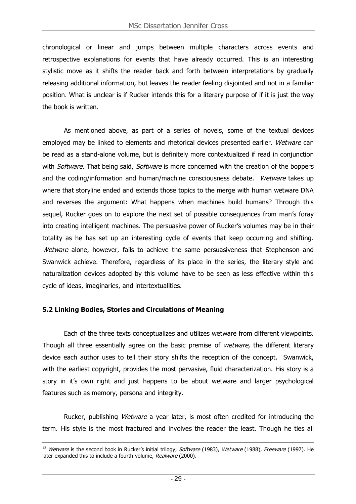chronological or linear and jumps between multiple characters across events and retrospective explanations for events that have already occurred. This is an interesting stylistic move as it shifts the reader back and forth between interpretations by gradually releasing additional information, but leaves the reader feeling disjointed and not in a familiar position. What is unclear is if Rucker intends this for a literary purpose of if it is just the way the book is written.

As mentioned above, as part of a series of novels, some of the textual devices employed may be linked to elements and rhetorical devices presented earlier. Wetware can be read as a stand-alone volume, but is definitely more contextualized if read in conjunction with Software. That being said, Software is more concerned with the creation of the boppers and the coding/information and human/machine consciousness debate. Wetware takes up where that storyline ended and extends those topics to the merge with human wetware DNA and reverses the argument: What happens when machines build humans? Through this sequel, Rucker goes on to explore the next set of possible consequences from man's foray into creating intelligent machines. The persuasive power of Rucker's volumes may be in their totality as he has set up an interesting cycle of events that keep occurring and shifting. Wetware alone, however, fails to achieve the same persuasiveness that Stephenson and Swanwick achieve. Therefore, regardless of its place in the series, the literary style and naturalization devices adopted by this volume have to be seen as less effective within this cycle of ideas, imaginaries, and intertextualities.

#### **5.2 Linking Bodies, Stories and Circulations of Meaning**

Each of the three texts conceptualizes and utilizes wetware from different viewpoints. Though all three essentially agree on the basic premise of wetware, the different literary device each author uses to tell their story shifts the reception of the concept. Swanwick, with the earliest copyright, provides the most pervasive, fluid characterization. His story is a story in it's own right and just happens to be about wetware and larger psychological features such as memory, persona and integrity.

Rucker, publishing *Wetware* a year later, is most often credited for introducing the term. His style is the most fractured and involves the reader the least. Though he ties all

 $\overline{a}$ <sup>12</sup> Wetware is the second book in Rucker's initial trilogy; Software (1983), Wetware (1988), Freeware (1997). He later expanded this to include a fourth volume, Realware (2000).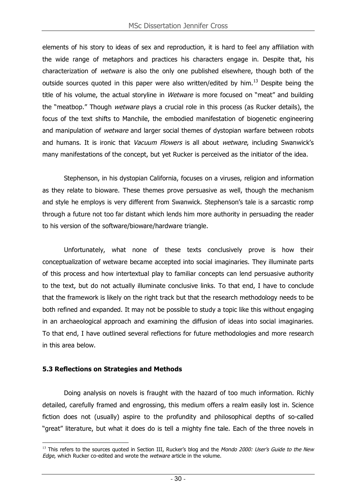elements of his story to ideas of sex and reproduction, it is hard to feel any affiliation with the wide range of metaphors and practices his characters engage in. Despite that, his characterization of wetware is also the only one published elsewhere, though both of the outside sources quoted in this paper were also written/edited by him.<sup>13</sup> Despite being the title of his volume, the actual storyline in Wetware is more focused on "meat" and building the "meatbop." Though wetware plays a crucial role in this process (as Rucker details), the focus of the text shifts to Manchile, the embodied manifestation of biogenetic engineering and manipulation of wetware and larger social themes of dystopian warfare between robots and humans. It is ironic that *Vacuum Flowers* is all about *wetware*, including Swanwick's many manifestations of the concept, but yet Rucker is perceived as the initiator of the idea.

Stephenson, in his dystopian California, focuses on a viruses, religion and information as they relate to bioware. These themes prove persuasive as well, though the mechanism and style he employs is very different from Swanwick. Stephenson's tale is a sarcastic romp through a future not too far distant which lends him more authority in persuading the reader to his version of the software/bioware/hardware triangle.

Unfortunately, what none of these texts conclusively prove is how their conceptualization of wetware became accepted into social imaginaries. They illuminate parts of this process and how intertextual play to familiar concepts can lend persuasive authority to the text, but do not actually illuminate conclusive links. To that end, I have to conclude that the framework is likely on the right track but that the research methodology needs to be both refined and expanded. It may not be possible to study a topic like this without engaging in an archaeological approach and examining the diffusion of ideas into social imaginaries. To that end, I have outlined several reflections for future methodologies and more research in this area below.

#### **5.3 Reflections on Strategies and Methods**

Doing analysis on novels is fraught with the hazard of too much information. Richly detailed, carefully framed and engrossing, this medium offers a realm easily lost in. Science fiction does not (usually) aspire to the profundity and philosophical depths of so-called "great" literature, but what it does do is tell a mighty fine tale. Each of the three novels in

 $\overline{a}$ <sup>13</sup> This refers to the sources quoted in Section III, Rucker's blog and the *Mondo 2000: User's Guide to the New* Edge, which Rucker co-edited and wrote the *wetware* article in the volume.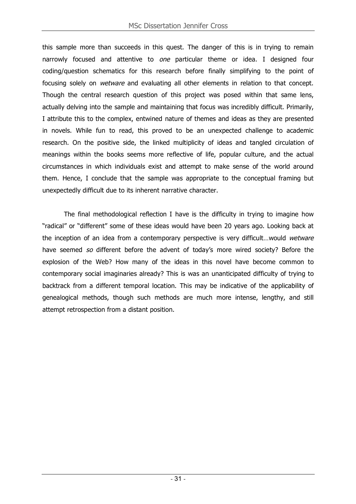this sample more than succeeds in this quest. The danger of this is in trying to remain narrowly focused and attentive to one particular theme or idea. I designed four coding/question schematics for this research before finally simplifying to the point of focusing solely on *wetware* and evaluating all other elements in relation to that concept. Though the central research question of this project was posed within that same lens, actually delving into the sample and maintaining that focus was incredibly difficult. Primarily, I attribute this to the complex, entwined nature of themes and ideas as they are presented in novels. While fun to read, this proved to be an unexpected challenge to academic research. On the positive side, the linked multiplicity of ideas and tangled circulation of meanings within the books seems more reflective of life, popular culture, and the actual circumstances in which individuals exist and attempt to make sense of the world around them. Hence, I conclude that the sample was appropriate to the conceptual framing but unexpectedly difficult due to its inherent narrative character.

The final methodological reflection I have is the difficulty in trying to imagine how "radical" or "different" some of these ideas would have been 20 years ago. Looking back at the inception of an idea from a contemporary perspective is very difficult...would wetware have seemed so different before the advent of today's more wired society? Before the explosion of the Web? How many of the ideas in this novel have become common to contemporary social imaginaries already? This is was an unanticipated difficulty of trying to backtrack from a different temporal location. This may be indicative of the applicability of genealogical methods, though such methods are much more intense, lengthy, and still attempt retrospection from a distant position.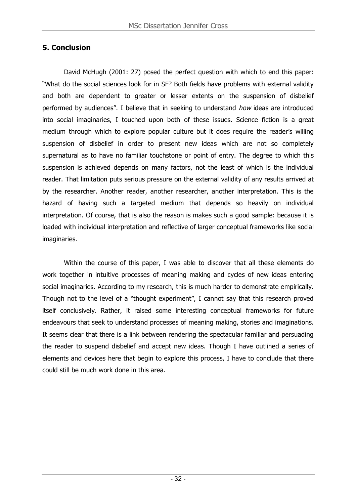# **5. Conclusion**

David McHugh (2001: 27) posed the perfect question with which to end this paper: "What do the social sciences look for in SF? Both fields have problems with external validity and both are dependent to greater or lesser extents on the suspension of disbelief performed by audiences". I believe that in seeking to understand how ideas are introduced into social imaginaries, I touched upon both of these issues. Science fiction is a great medium through which to explore popular culture but it does require the reader's willing suspension of disbelief in order to present new ideas which are not so completely supernatural as to have no familiar touchstone or point of entry. The degree to which this suspension is achieved depends on many factors, not the least of which is the individual reader. That limitation puts serious pressure on the external validity of any results arrived at by the researcher. Another reader, another researcher, another interpretation. This is the hazard of having such a targeted medium that depends so heavily on individual interpretation. Of course, that is also the reason is makes such a good sample: because it is loaded with individual interpretation and reflective of larger conceptual frameworks like social imaginaries.

Within the course of this paper, I was able to discover that all these elements do work together in intuitive processes of meaning making and cycles of new ideas entering social imaginaries. According to my research, this is much harder to demonstrate empirically. Though not to the level of a "thought experiment", I cannot say that this research proved itself conclusively. Rather, it raised some interesting conceptual frameworks for future endeavours that seek to understand processes of meaning making, stories and imaginations. It seems clear that there is a link between rendering the spectacular familiar and persuading the reader to suspend disbelief and accept new ideas. Though I have outlined a series of elements and devices here that begin to explore this process, I have to conclude that there could still be much work done in this area.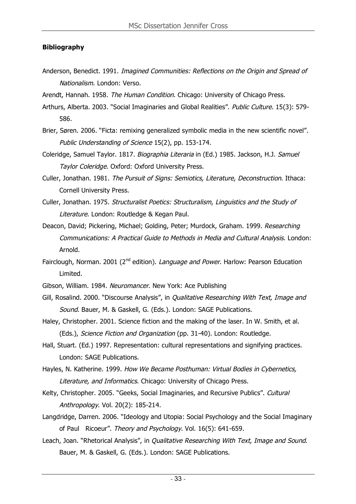#### **Bibliography**

- Anderson, Benedict. 1991. Imagined Communities: Reflections on the Origin and Spread of Nationalism. London: Verso.
- Arendt, Hannah. 1958. The Human Condition. Chicago: University of Chicago Press.
- Arthurs, Alberta. 2003. "Social Imaginaries and Global Realities". Public Culture. 15(3): 579-586.
- Brier, Søren. 2006. "Ficta: remixing generalized symbolic media in the new scientific novel". Public Understanding of Science 15(2), pp. 153-174.
- Coleridge, Samuel Taylor. 1817. Biographia Literaria in (Ed.) 1985. Jackson, H.J. Samuel Taylor Coleridge. Oxford: Oxford University Press.
- Culler, Jonathan. 1981. The Pursuit of Signs: Semiotics, Literature, Deconstruction. Ithaca: Cornell University Press.
- Culler, Jonathan. 1975. Structuralist Poetics: Structuralism, Linguistics and the Study of Literature. London: Routledge & Kegan Paul.
- Deacon, David; Pickering, Michael; Golding, Peter; Murdock, Graham. 1999. Researching Communications: A Practical Guide to Methods in Media and Cultural Analysis. London: Arnold.
- Fairclough, Norman. 2001 (2<sup>nd</sup> edition). Language and Power. Harlow: Pearson Education Limited.
- Gibson, William. 1984. Neuromancer. New York: Ace Publishing
- Gill, Rosalind. 2000. "Discourse Analysis", in Qualitative Researching With Text, Image and Sound. Bauer, M. & Gaskell, G. (Eds.). London: SAGE Publications.
- Haley, Christopher. 2001. Science fiction and the making of the laser. In W. Smith, et al. (Eds.), Science Fiction and Organization (pp. 31-40). London: Routledge.
- Hall, Stuart. (Ed.) 1997. Representation: cultural representations and signifying practices. London: SAGE Publications.
- Hayles, N. Katherine. 1999. How We Became Posthuman: Virtual Bodies in Cybernetics, Literature, and Informatics. Chicago: University of Chicago Press.
- Kelty, Christopher. 2005. "Geeks, Social Imaginaries, and Recursive Publics". Cultural Anthropology. Vol. 20(2): 185-214.
- Langdridge, Darren. 2006. "Ideology and Utopia: Social Psychology and the Social Imaginary of Paul Ricoeur". Theory and Psychology. Vol. 16(5): 641-659.
- Leach, Joan. "Rhetorical Analysis", in Qualitative Researching With Text, Image and Sound. Bauer, M. & Gaskell, G. (Eds.). London: SAGE Publications.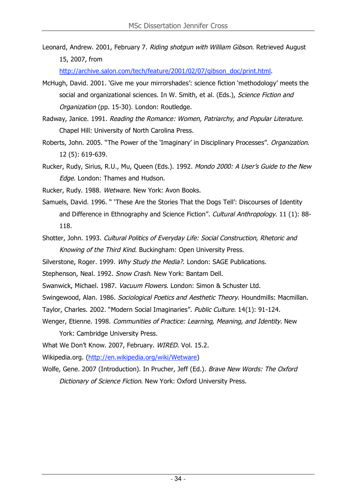Leonard, Andrew. 2001, February 7. Riding shotgun with William Gibson. Retrieved August 15, 2007, from

http://archive.salon.com/tech/feature/2001/02/07/gibson\_doc/print.html.

- McHugh, David. 2001. 'Give me your mirrorshades': science fiction 'methodology' meets the social and organizational sciences. In W. Smith, et al. (Eds.), Science Fiction and Organization (pp. 15-30). London: Routledge.
- Radway, Janice. 1991. Reading the Romance: Women, Patriarchy, and Popular Literature. Chapel Hill: University of North Carolina Press.
- Roberts, John. 2005. "The Power of the 'Imaginary' in Disciplinary Processes". Organization. 12 (5): 619-639.
- Rucker, Rudy, Sirius, R.U., Mu, Queen (Eds.). 1992. Mondo 2000: A User's Guide to the New Edge. London: Thames and Hudson.

Rucker, Rudy. 1988. Wetware. New York: Avon Books.

- Samuels, David. 1996. " 'These Are the Stories That the Dogs Tell': Discourses of Identity and Difference in Ethnography and Science Fiction". Cultural Anthropology. 11 (1): 88-118.
- Shotter, John. 1993. Cultural Politics of Everyday Life: Social Construction, Rhetoric and Knowing of the Third Kind. Buckingham: Open University Press.
- Silverstone, Roger. 1999. Why Study the Media?. London: SAGE Publications.
- Stephenson, Neal. 1992. Snow Crash. New York: Bantam Dell.
- Swanwick, Michael. 1987. Vacuum Flowers. London: Simon & Schuster Ltd.
- Swingewood, Alan. 1986. Sociological Poetics and Aesthetic Theory. Houndmills: Macmillan.
- Taylor, Charles. 2002. "Modern Social Imaginaries". Public Culture. 14(1): 91-124.
- Wenger, Etienne. 1998. Communities of Practice: Learning, Meaning, and Identity. New York: Cambridge University Press.
- What We Don't Know. 2007, February. WIRED. Vol. 15.2.
- Wikipedia.org. (http://en.wikipedia.org/wiki/Wetware)
- Wolfe, Gene. 2007 (Introduction). In Prucher, Jeff (Ed.). Brave New Words: The Oxford Dictionary of Science Fiction. New York: Oxford University Press.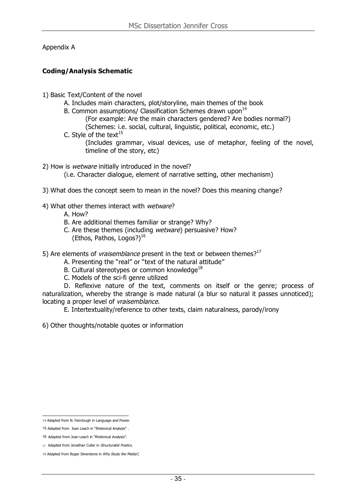Appendix A

#### **Coding/Analysis Schematic**

- 1) Basic Text/Content of the novel
	- A. Includes main characters, plot/storyline, main themes of the book
	- B. Common assumptions/ Classification Schemes drawn upon<sup>14</sup>
		- (For example: Are the main characters gendered? Are bodies normal?) (Schemes: i.e. social, cultural, linguistic, political, economic, etc.)
	- C. Style of the text $^{15}$ (Includes grammar, visual devices, use of metaphor, feeling of the novel, timeline of the story, etc)

2) How is *wetware* initially introduced in the novel?

(i.e. Character dialogue, element of narrative setting, other mechanism)

- 3) What does the concept seem to mean in the novel? Does this meaning change?
- 4) What other themes interact with wetware?
	- A. How?
	- B. Are additional themes familiar or strange? Why?
	- C. Are these themes (including wetware) persuasive? How? (Ethos, Pathos, Logos?) $^{16}$
- 5) Are elements of *vraisemblance* present in the text or between themes?<sup>17</sup>
	- A. Presenting the "real" or "text of the natural attitude"
	- B. Cultural stereotypes or common knowledge<sup>18</sup>
	- C. Models of the sci-fi genre utilized

D. Reflexive nature of the text, comments on itself or the genre; process of naturalization, whereby the strange is made natural (a blur so natural it passes unnoticed); locating a proper level of vraisemblance.

E. Intertextuality/reference to other texts, claim naturalness, parody/irony

6) Other thoughts/notable quotes or information

<sup>14</sup> Adapted from N. Fairclough in Language and Power.

<sup>15</sup> Adapted from Joan Leach in "Rhetorical Analysis" .

<sup>16</sup> Adapted from Joan Leach in "Rhetorical Analysis".

<sup>17</sup> Adapted from Jonathan Culler in Structuralist Poetics.

<sup>18</sup> Adapted from Roger Silverstone in Why Study the Media?,